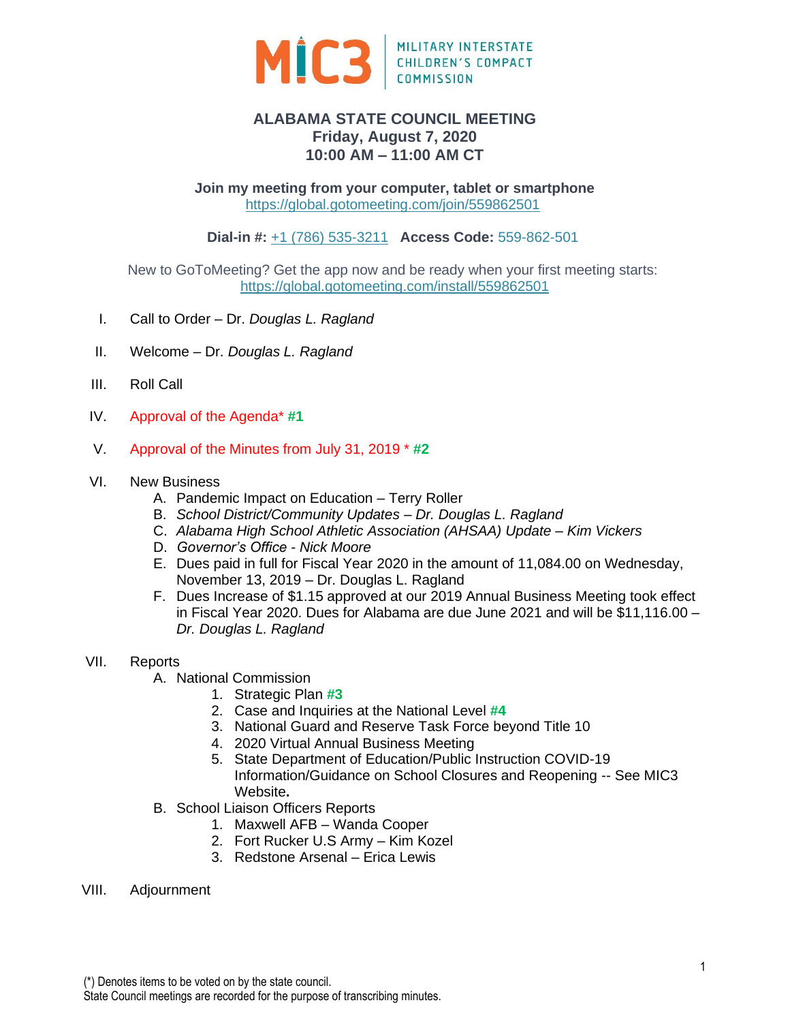

# **ALABAMA STATE COUNCIL MEETING Friday, August 7, 2020 10:00 AM – 11:00 AM CT**

**Join my meeting from your computer, tablet or smartphone** <https://global.gotomeeting.com/join/559862501>

**Dial-in #:** [+1 \(786\) 535-3211](tel:+17865353211,,559862501%23) **Access Code:** 559-862-501

New to GoToMeeting? Get the app now and be ready when your first meeting starts: <https://global.gotomeeting.com/install/559862501>

- I. Call to Order Dr. *Douglas L. Ragland*
- II. Welcome Dr. *Douglas L. Ragland*
- III. Roll Call
- IV. Approval of the Agenda\* **#1**
- V. Approval of the Minutes from July 31, 2019 \* **#2**

# VI. New Business

- A. Pandemic Impact on Education Terry Roller
- B. *School District/Community Updates Dr. Douglas L. Ragland*
- C. *Alabama High School Athletic Association (AHSAA) Update Kim Vickers*
- D. *Governor's Office - Nick Moore*
- E. Dues paid in full for Fiscal Year 2020 in the amount of 11,084.00 on Wednesday, November 13, 2019 – Dr. Douglas L. Ragland
- F. Dues Increase of \$1.15 approved at our 2019 Annual Business Meeting took effect in Fiscal Year 2020. Dues for Alabama are due June 2021 and will be \$11,116.00 – *Dr. Douglas L. Ragland*

# VII. Reports

- A. National Commission
	- 1. Strategic Plan **#3**
	- 2. Case and Inquiries at the National Level **#4**
	- 3. National Guard and Reserve Task Force beyond Title 10
	- 4. 2020 Virtual Annual Business Meeting
	- 5. State Department of Education/Public Instruction COVID-19 Information/Guidance on School Closures and Reopening -- See MIC3 Website**.**
- B. School Liaison Officers Reports
	- 1. Maxwell AFB Wanda Cooper
	- 2. Fort Rucker U.S Army Kim Kozel
	- 3. Redstone Arsenal Erica Lewis
- VIII. Adjournment